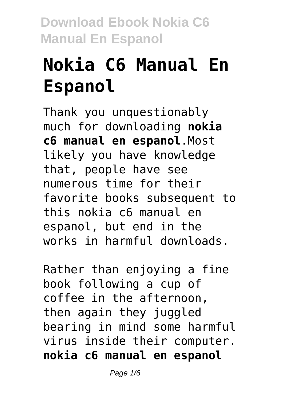# **Nokia C6 Manual En Espanol**

Thank you unquestionably much for downloading **nokia c6 manual en espanol**.Most likely you have knowledge that, people have see numerous time for their favorite books subsequent to this nokia c6 manual en espanol, but end in the works in harmful downloads.

Rather than enjoying a fine book following a cup of coffee in the afternoon, then again they juggled bearing in mind some harmful virus inside their computer. **nokia c6 manual en espanol**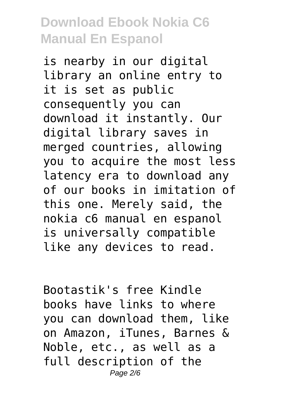is nearby in our digital library an online entry to it is set as public consequently you can download it instantly. Our digital library saves in merged countries, allowing you to acquire the most less latency era to download any of our books in imitation of this one. Merely said, the nokia c6 manual en espanol is universally compatible like any devices to read.

Bootastik's free Kindle books have links to where you can download them, like on Amazon, iTunes, Barnes & Noble, etc., as well as a full description of the Page 2/6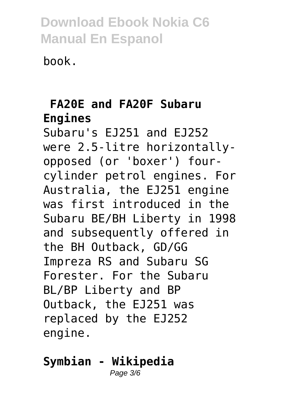book.

### **FA20E and FA20F Subaru Engines**

Subaru's EJ251 and EJ252 were 2.5-litre horizontallyopposed (or 'boxer') fourcylinder petrol engines. For Australia, the EJ251 engine was first introduced in the Subaru BE/BH Liberty in 1998 and subsequently offered in the BH Outback, GD/GG Impreza RS and Subaru SG Forester. For the Subaru BL/BP Liberty and BP Outback, the EJ251 was replaced by the EJ252 engine.

#### **Symbian - Wikipedia** Page 3/6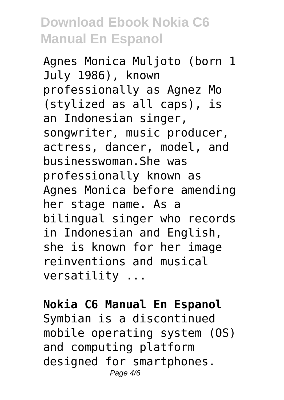Agnes Monica Muljoto (born 1 July 1986), known professionally as Agnez Mo (stylized as all caps), is an Indonesian singer, songwriter, music producer, actress, dancer, model, and businesswoman.She was professionally known as Agnes Monica before amending her stage name. As a bilingual singer who records in Indonesian and English, she is known for her image reinventions and musical versatility ...

#### **Nokia C6 Manual En Espanol**

Symbian is a discontinued mobile operating system (OS) and computing platform designed for smartphones. Page 4/6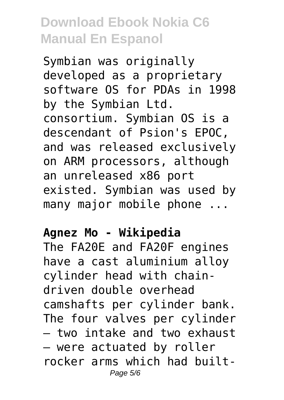Symbian was originally developed as a proprietary software OS for PDAs in 1998 by the Symbian Ltd. consortium. Symbian OS is a descendant of Psion's EPOC, and was released exclusively on ARM processors, although an unreleased x86 port existed. Symbian was used by many major mobile phone ...

#### **Agnez Mo - Wikipedia**

The FA20E and FA20F engines have a cast aluminium alloy cylinder head with chaindriven double overhead camshafts per cylinder bank. The four valves per cylinder – two intake and two exhaust – were actuated by roller rocker arms which had built-Page 5/6